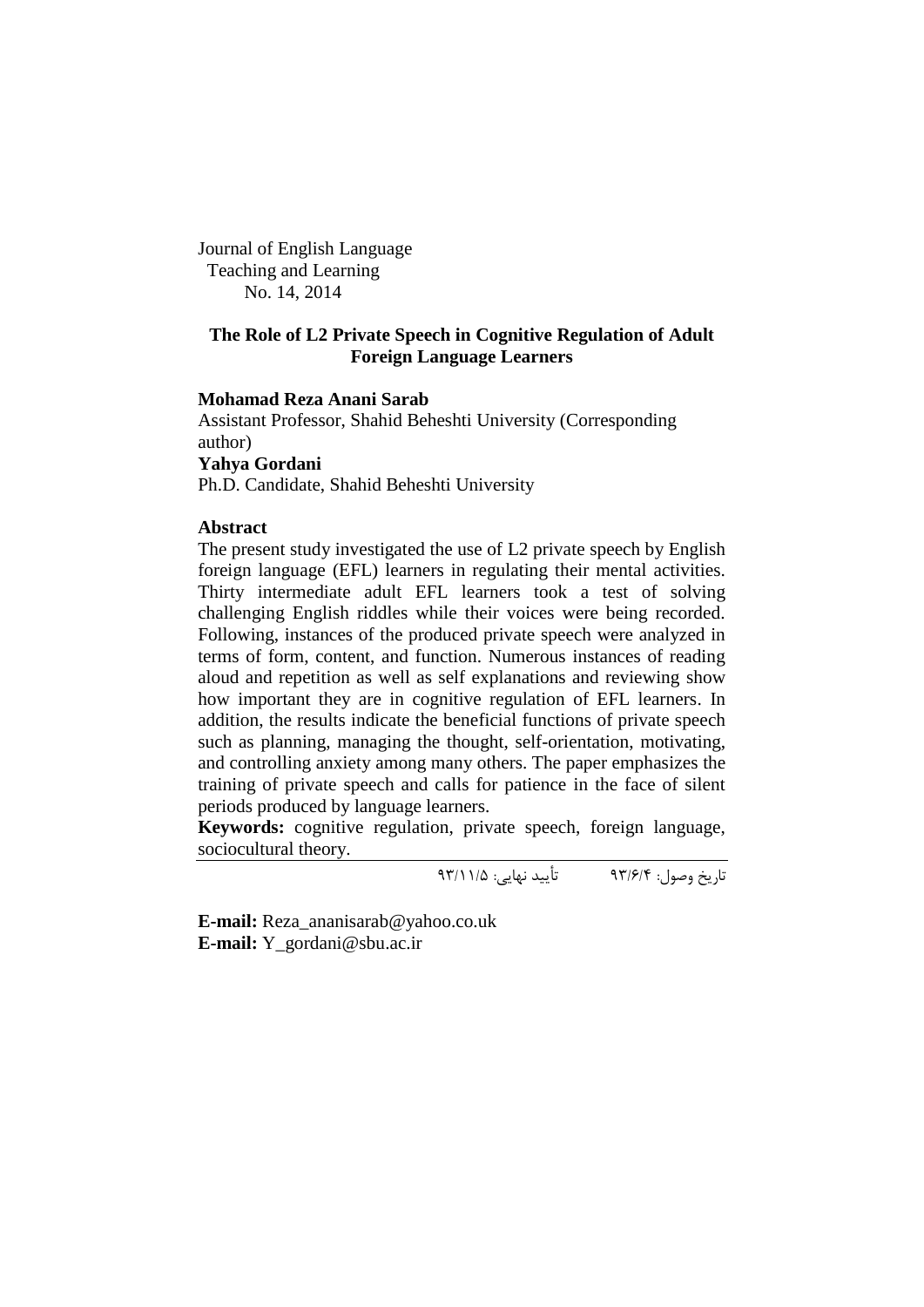Journal of English Language Teaching and Learning No. 14, 2014

## **The Role of L2 Private Speech in Cognitive Regulation of Adult Foreign Language Learners**

## **Mohamad Reza Anani Sarab**

Assistant Professor, Shahid Beheshti University (Corresponding author) **Yahya Gordani**

Ph.D. Candidate, Shahid Beheshti University

### **Abstract**

The present study investigated the use of L2 private speech by English foreign language (EFL) learners in regulating their mental activities. Thirty intermediate adult EFL learners took a test of solving challenging English riddles while their voices were being recorded. Following, instances of the produced private speech were analyzed in terms of form, content, and function. Numerous instances of reading aloud and repetition as well as self explanations and reviewing show how important they are in cognitive regulation of EFL learners. In addition, the results indicate the beneficial functions of private speech such as planning, managing the thought, self-orientation, motivating, and controlling anxiety among many others. The paper emphasizes the training of private speech and calls for patience in the face of silent periods produced by language learners.

**Keywords:** cognitive regulation, private speech, foreign language, sociocultural theory.

تاریخ وصول: 39/6/4 تأیید نهایی: 39/11/5

**E-mail:** [Reza\\_ananisarab@yahoo.co.uk](mailto:Reza_ananisarab@yahoo.co.uk) **E-mail:** Y\_gordani@sbu.ac.ir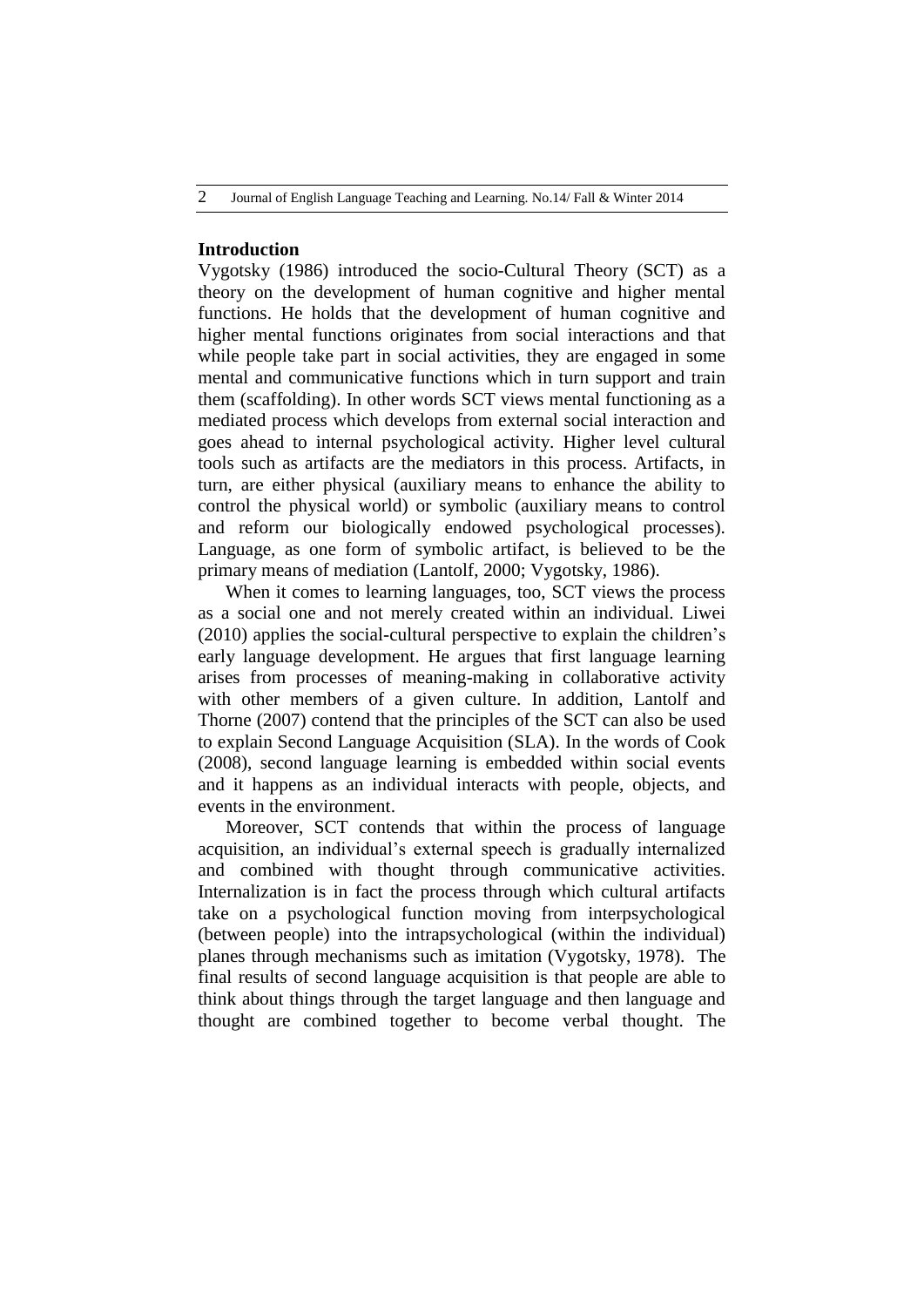#### **Introduction**

Vygotsky (1986) introduced the socio-Cultural Theory (SCT) as a theory on the development of human cognitive and higher mental functions. He holds that the development of human cognitive and higher mental functions originates from social interactions and that while people take part in social activities, they are engaged in some mental and communicative functions which in turn support and train them (scaffolding). In other words SCT views mental functioning as a mediated process which develops from external social interaction and goes ahead to internal psychological activity. Higher level cultural tools such as artifacts are the mediators in this process. Artifacts, in turn, are either physical (auxiliary means to enhance the ability to control the physical world) or symbolic (auxiliary means to control and reform our biologically endowed psychological processes). Language, as one form of symbolic artifact, is believed to be the primary means of mediation (Lantolf, 2000; Vygotsky, 1986).

When it comes to learning languages, too, SCT views the process as a social one and not merely created within an individual. Liwei (2010) applies the social-cultural perspective to explain the children"s early language development. He argues that first language learning arises from processes of meaning-making in collaborative activity with other members of a given culture. In addition, Lantolf and Thorne (2007) contend that the principles of the SCT can also be used to explain Second Language Acquisition (SLA). In the words of Cook (2008), second language learning is embedded within social events and it happens as an individual interacts with people, objects, and events in the environment.

Moreover, SCT contends that within the process of language acquisition, an individual"s external speech is gradually internalized and combined with thought through communicative activities. Internalization is in fact the process through which cultural artifacts take on a psychological function moving from interpsychological (between people) into the intrapsychological (within the individual) planes through mechanisms such as imitation (Vygotsky, 1978). The final results of second language acquisition is that people are able to think about things through the target language and then language and thought are combined together to become verbal thought. The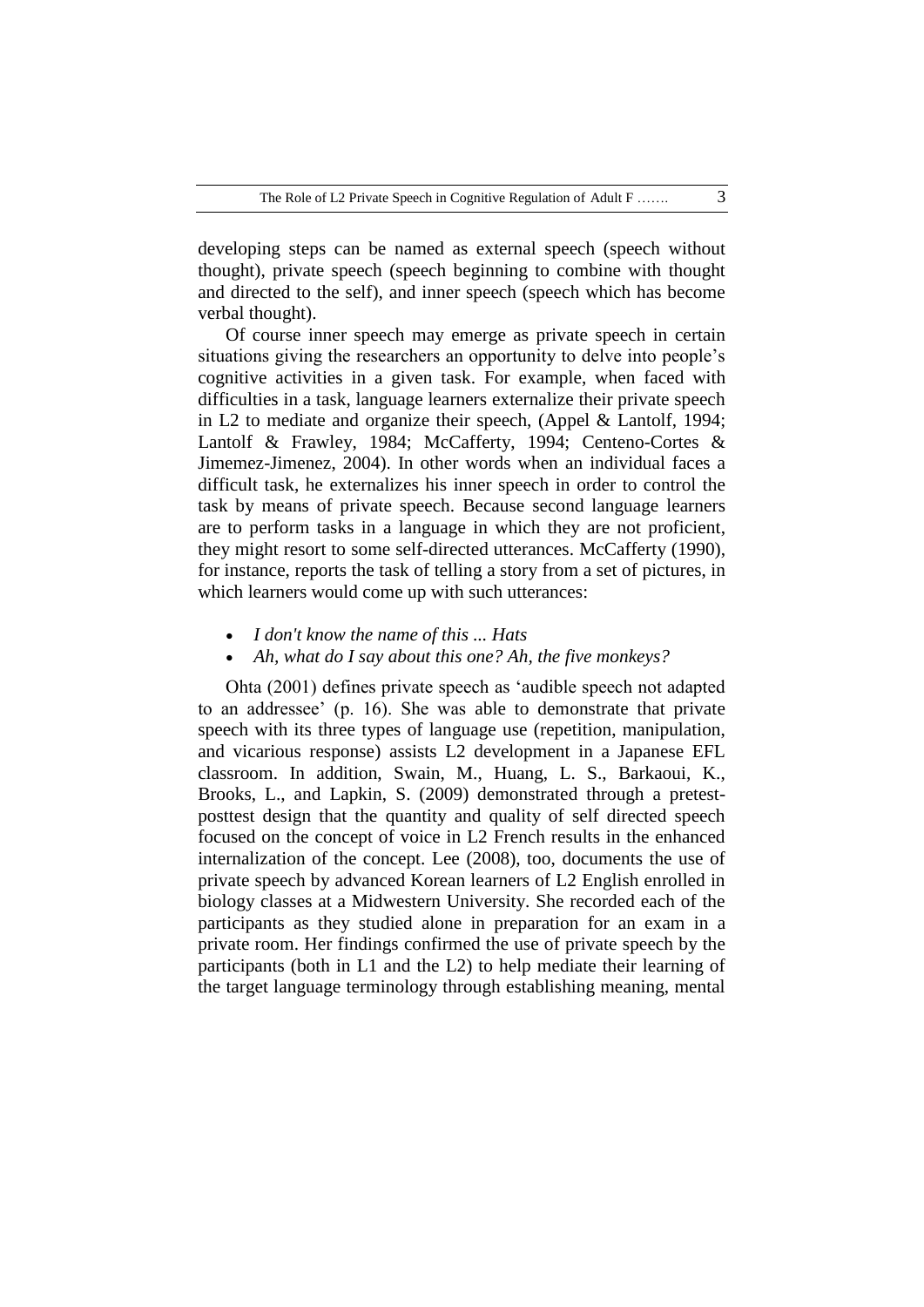developing steps can be named as external speech (speech without thought), private speech (speech beginning to combine with thought and directed to the self), and inner speech (speech which has become verbal thought).

Of course inner speech may emerge as private speech in certain situations giving the researchers an opportunity to delve into people"s cognitive activities in a given task. For example, when faced with difficulties in a task, language learners externalize their private speech in L2 to mediate and organize their speech, (Appel & Lantolf, 1994; Lantolf & Frawley, 1984; McCafferty, 1994; Centeno-Cortes & Jimemez-Jimenez, 2004). In other words when an individual faces a difficult task, he externalizes his inner speech in order to control the task by means of private speech. Because second language learners are to perform tasks in a language in which they are not proficient, they might resort to some self-directed utterances. McCafferty (1990), for instance, reports the task of telling a story from a set of pictures, in which learners would come up with such utterances:

- *I don't know the name of this ... Hats*
- *Ah, what do I say about this one? Ah, the five monkeys?*

Ohta (2001) defines private speech as "audible speech not adapted to an addressee" (p. 16). She was able to demonstrate that private speech with its three types of language use (repetition, manipulation, and vicarious response) assists L2 development in a Japanese EFL classroom. In addition, Swain, M., Huang, L. S., Barkaoui, K., Brooks, L., and Lapkin, S. (2009) demonstrated through a pretestposttest design that the quantity and quality of self directed speech focused on the concept of voice in L2 French results in the enhanced internalization of the concept. Lee (2008), too, documents the use of private speech by advanced Korean learners of L2 English enrolled in biology classes at a Midwestern University. She recorded each of the participants as they studied alone in preparation for an exam in a private room. Her findings confirmed the use of private speech by the participants (both in L1 and the L2) to help mediate their learning of the target language terminology through establishing meaning, mental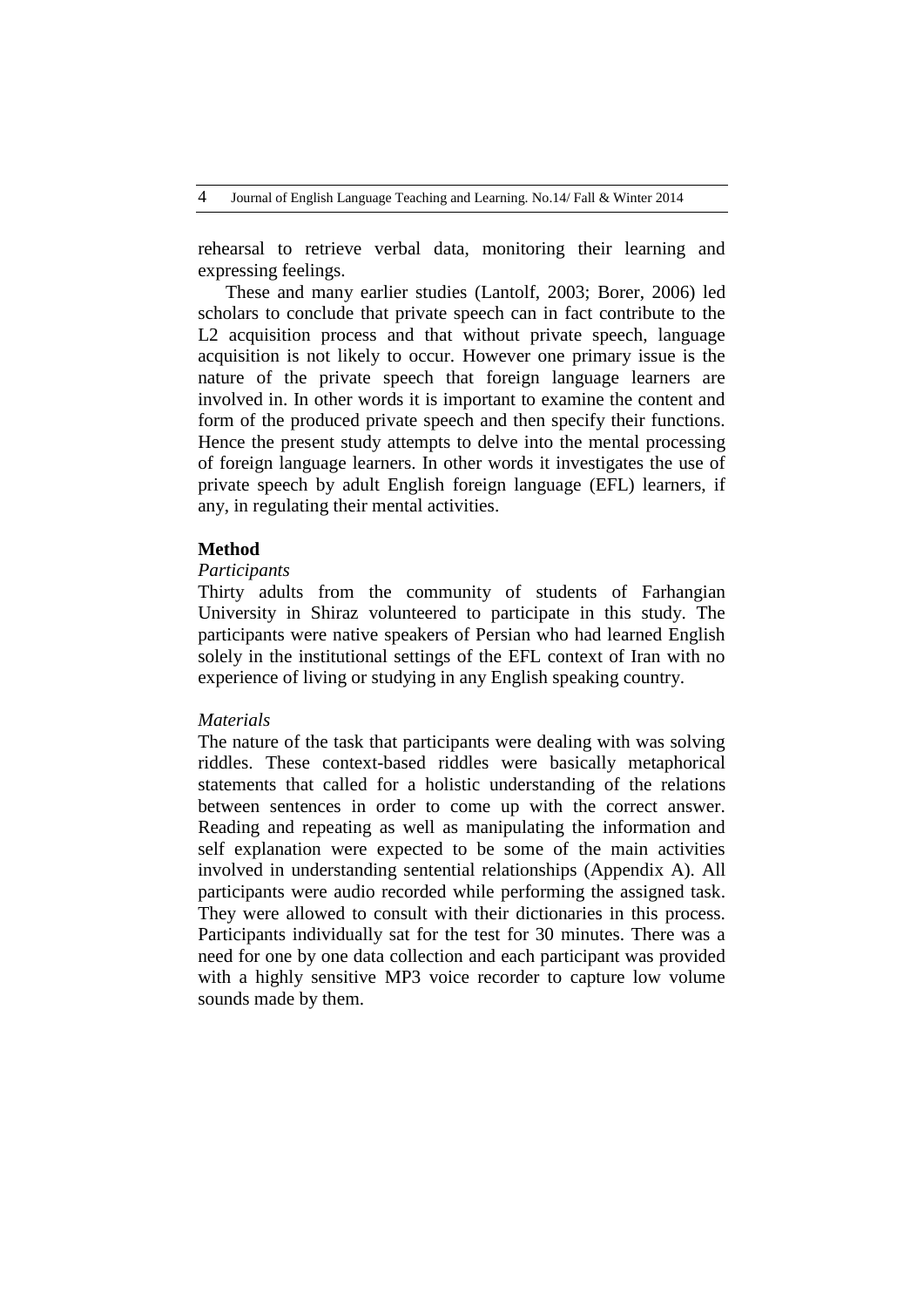rehearsal to retrieve verbal data, monitoring their learning and expressing feelings.

These and many earlier studies (Lantolf, 2003; Borer, 2006) led scholars to conclude that private speech can in fact contribute to the L<sub>2</sub> acquisition process and that without private speech, language acquisition is not likely to occur. However one primary issue is the nature of the private speech that foreign language learners are involved in. In other words it is important to examine the content and form of the produced private speech and then specify their functions. Hence the present study attempts to delve into the mental processing of foreign language learners. In other words it investigates the use of private speech by adult English foreign language (EFL) learners, if any, in regulating their mental activities.

### **Method**

## *Participants*

Thirty adults from the community of students of Farhangian University in Shiraz volunteered to participate in this study. The participants were native speakers of Persian who had learned English solely in the institutional settings of the EFL context of Iran with no experience of living or studying in any English speaking country.

#### *Materials*

The nature of the task that participants were dealing with was solving riddles. These context-based riddles were basically metaphorical statements that called for a holistic understanding of the relations between sentences in order to come up with the correct answer. Reading and repeating as well as manipulating the information and self explanation were expected to be some of the main activities involved in understanding sentential relationships (Appendix A). All participants were audio recorded while performing the assigned task. They were allowed to consult with their dictionaries in this process. Participants individually sat for the test for 30 minutes. There was a need for one by one data collection and each participant was provided with a highly sensitive MP3 voice recorder to capture low volume sounds made by them.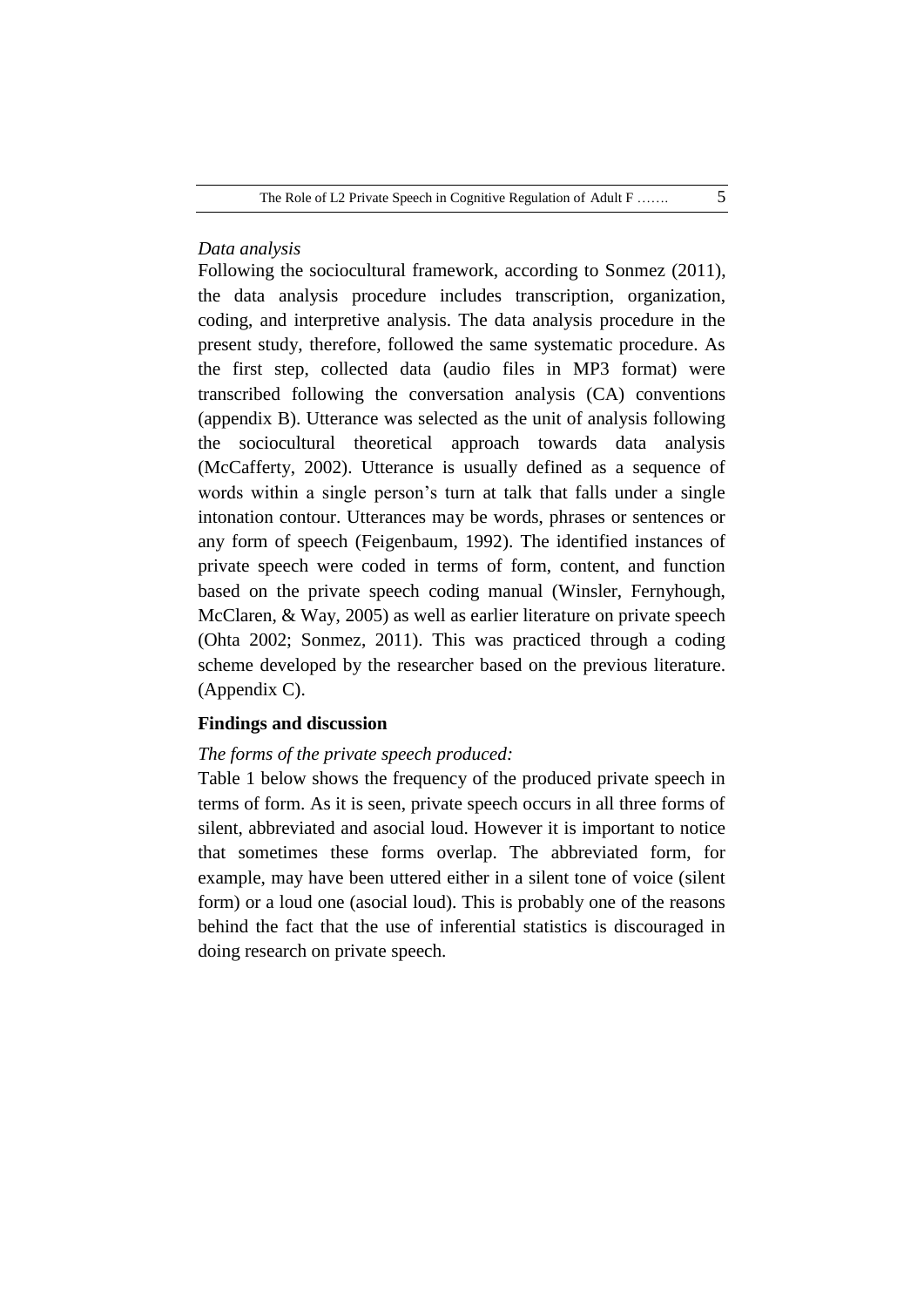## *Data analysis*

Following the sociocultural framework, according to Sonmez (2011), the data analysis procedure includes transcription, organization, coding, and interpretive analysis. The data analysis procedure in the present study, therefore, followed the same systematic procedure. As the first step, collected data (audio files in MP3 format) were transcribed following the conversation analysis (CA) conventions (appendix B). Utterance was selected as the unit of analysis following the sociocultural theoretical approach towards data analysis (McCafferty, 2002). Utterance is usually defined as a sequence of words within a single person"s turn at talk that falls under a single intonation contour. Utterances may be words, phrases or sentences or any form of speech (Feigenbaum, 1992). The identified instances of private speech were coded in terms of form, content, and function based on the private speech coding manual (Winsler, Fernyhough, McClaren, & Way, 2005) as well as earlier literature on private speech (Ohta 2002; Sonmez, 2011). This was practiced through a coding scheme developed by the researcher based on the previous literature. (Appendix C).

## **Findings and discussion**

#### *The forms of the private speech produced:*

Table 1 below shows the frequency of the produced private speech in terms of form. As it is seen, private speech occurs in all three forms of silent, abbreviated and asocial loud. However it is important to notice that sometimes these forms overlap. The abbreviated form, for example, may have been uttered either in a silent tone of voice (silent form) or a loud one (asocial loud). This is probably one of the reasons behind the fact that the use of inferential statistics is discouraged in doing research on private speech.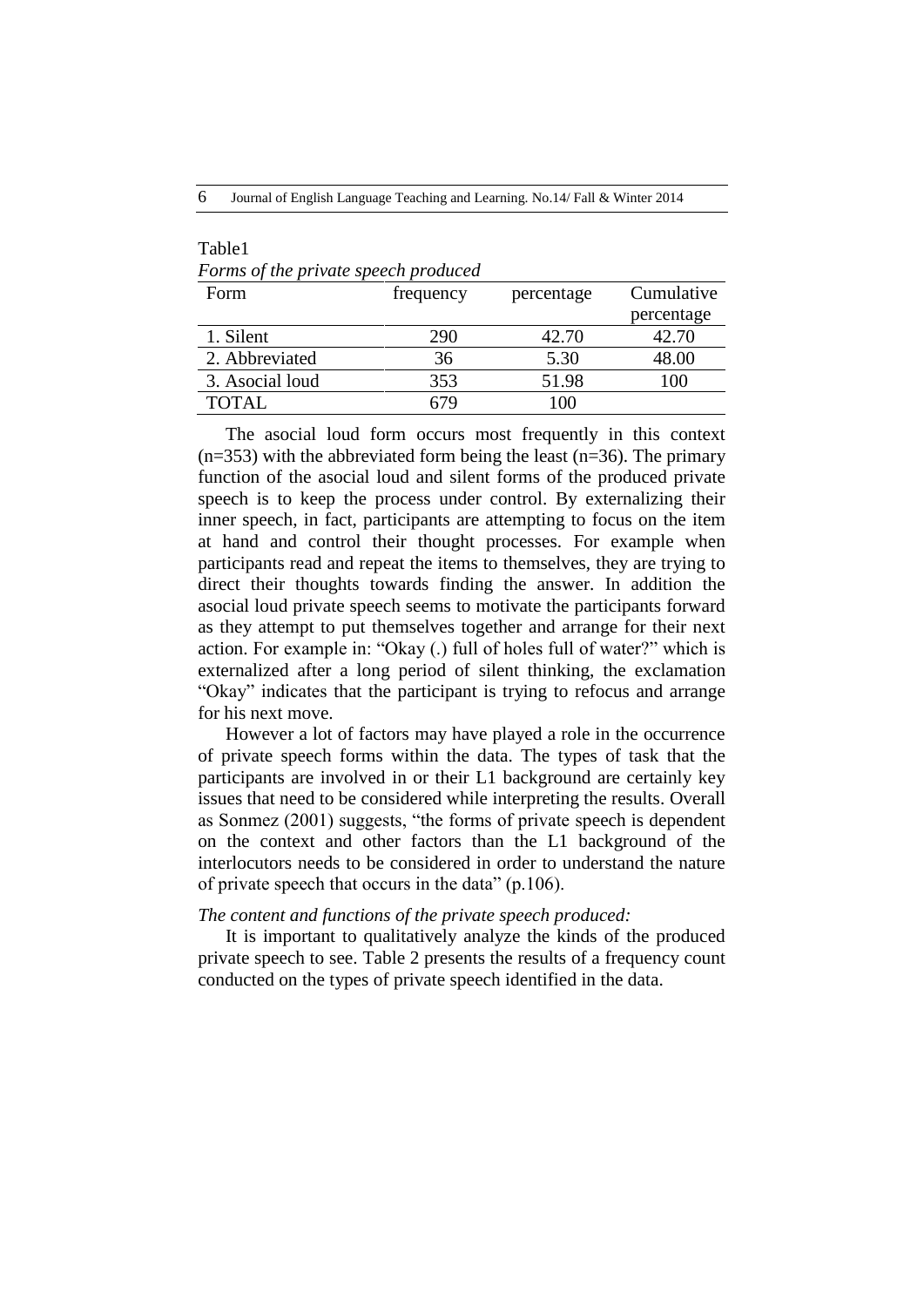6 Journal of English Language Teaching and Learning. No.14/ Fall & Winter 2014

#### Table1 *Forms of the private speech produced*

| Form            | frequency | percentage | Cumulative |
|-----------------|-----------|------------|------------|
|                 |           |            | percentage |
| 1. Silent       | 290       | 42.70      | 42.70      |
| 2. Abbreviated  | 36        | 5.30       | 48.00      |
| 3. Asocial loud | 353       | 51.98      | 100        |
| <b>TOTAL</b>    |           | 100        |            |

The asocial loud form occurs most frequently in this context  $(n=353)$  with the abbreviated form being the least  $(n=36)$ . The primary function of the asocial loud and silent forms of the produced private speech is to keep the process under control. By externalizing their inner speech, in fact, participants are attempting to focus on the item at hand and control their thought processes. For example when participants read and repeat the items to themselves, they are trying to direct their thoughts towards finding the answer. In addition the asocial loud private speech seems to motivate the participants forward as they attempt to put themselves together and arrange for their next action. For example in: "Okay (.) full of holes full of water?" which is externalized after a long period of silent thinking, the exclamation "Okay" indicates that the participant is trying to refocus and arrange for his next move.

However a lot of factors may have played a role in the occurrence of private speech forms within the data. The types of task that the participants are involved in or their L1 background are certainly key issues that need to be considered while interpreting the results. Overall as Sonmez (2001) suggests, "the forms of private speech is dependent on the context and other factors than the L1 background of the interlocutors needs to be considered in order to understand the nature of private speech that occurs in the data" (p.106).

## *The content and functions of the private speech produced:*

It is important to qualitatively analyze the kinds of the produced private speech to see. Table 2 presents the results of a frequency count conducted on the types of private speech identified in the data.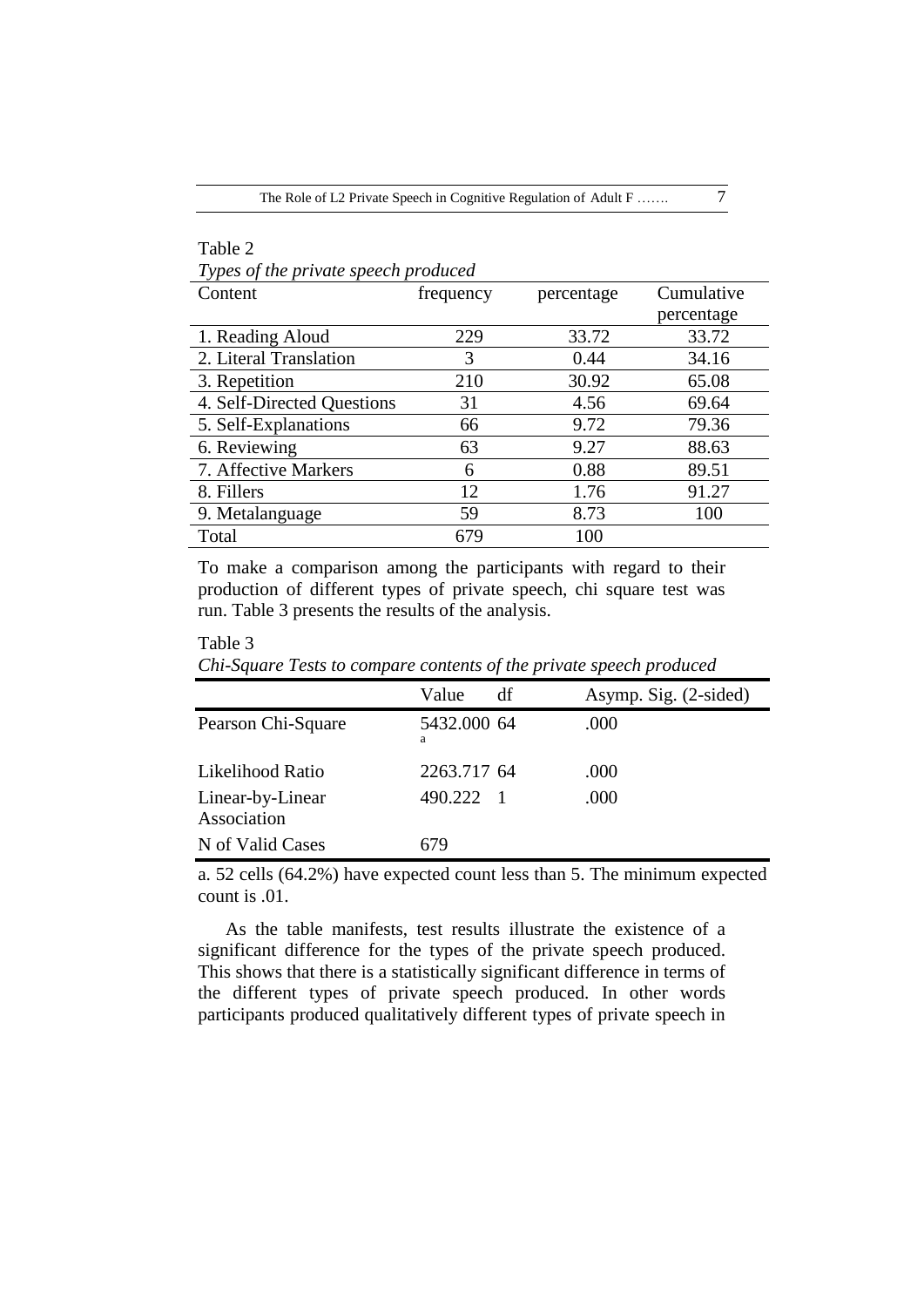#### Table 2

Table 3

*Types of the private speech produced*

| Content                    | frequency | percentage | Cumulative |
|----------------------------|-----------|------------|------------|
|                            |           |            | percentage |
| 1. Reading Aloud           | 229       | 33.72      | 33.72      |
| 2. Literal Translation     | 3         | 0.44       | 34.16      |
| 3. Repetition              | 210       | 30.92      | 65.08      |
| 4. Self-Directed Questions | 31        | 4.56       | 69.64      |
| 5. Self-Explanations       | 66        | 9.72       | 79.36      |
| 6. Reviewing               | 63        | 9.27       | 88.63      |
| 7. Affective Markers       | 6         | 0.88       | 89.51      |
| 8. Fillers                 | 12        | 1.76       | 91.27      |
| 9. Metalanguage            | 59        | 8.73       | 100        |
| Total                      | 679       | 100        |            |

To make a comparison among the participants with regard to their production of different types of private speech, chi square test was run. Table 3 presents the results of the analysis.

| Chi square resis to compare contents of the private speech produced |                  |    |                       |  |
|---------------------------------------------------------------------|------------------|----|-----------------------|--|
|                                                                     | Value            | df | Asymp. Sig. (2-sided) |  |
| Pearson Chi-Square                                                  | 5432.000 64<br>а |    | .000                  |  |
| Likelihood Ratio                                                    | 2263.717 64      |    | .000                  |  |
| Linear-by-Linear<br>Association                                     | 490.222 1        |    | .000                  |  |
| N of Valid Cases                                                    | 679              |    |                       |  |

*Chi-Square Tests to compare contents of the private speech produced*

a. 52 cells (64.2%) have expected count less than 5. The minimum expected count is .01.

As the table manifests, test results illustrate the existence of a significant difference for the types of the private speech produced. This shows that there is a statistically significant difference in terms of the different types of private speech produced. In other words participants produced qualitatively different types of private speech in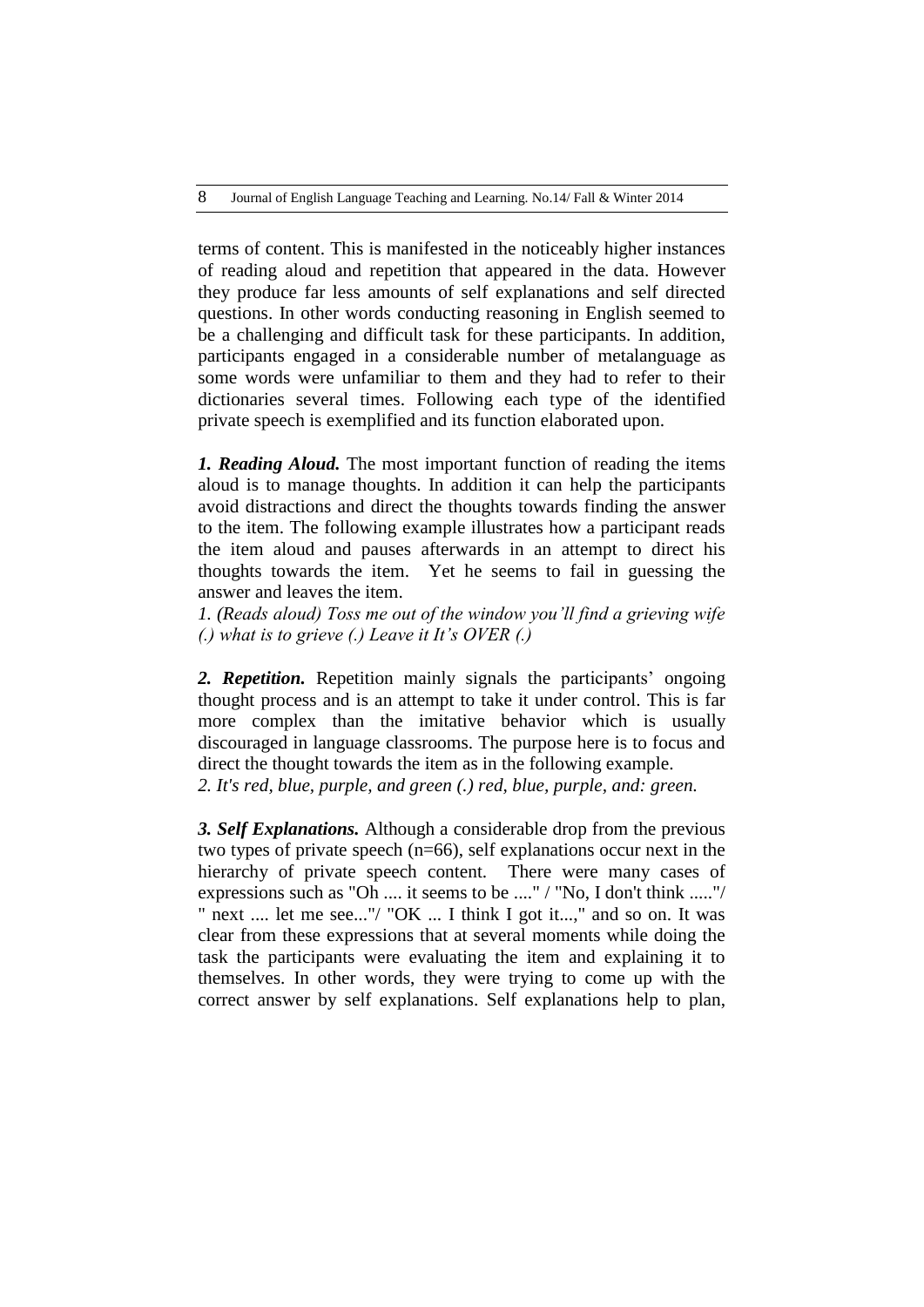terms of content. This is manifested in the noticeably higher instances of reading aloud and repetition that appeared in the data. However they produce far less amounts of self explanations and self directed questions. In other words conducting reasoning in English seemed to be a challenging and difficult task for these participants. In addition, participants engaged in a considerable number of metalanguage as some words were unfamiliar to them and they had to refer to their dictionaries several times. Following each type of the identified private speech is exemplified and its function elaborated upon.

*1. Reading Aloud.* The most important function of reading the items aloud is to manage thoughts. In addition it can help the participants avoid distractions and direct the thoughts towards finding the answer to the item. The following example illustrates how a participant reads the item aloud and pauses afterwards in an attempt to direct his thoughts towards the item. Yet he seems to fail in guessing the answer and leaves the item.

*1. (Reads aloud) Toss me out of the window you'll find a grieving wife (.) what is to grieve (.) Leave it It's OVER (.)* 

2. **Repetition.** Repetition mainly signals the participants' ongoing thought process and is an attempt to take it under control. This is far more complex than the imitative behavior which is usually discouraged in language classrooms. The purpose here is to focus and direct the thought towards the item as in the following example.

*2. It's red, blue, purple, and green (.) red, blue, purple, and: green.*

*3. Self Explanations.* Although a considerable drop from the previous two types of private speech (n=66), self explanations occur next in the hierarchy of private speech content. There were many cases of expressions such as "Oh .... it seems to be ...." / "No, I don't think ....."/ " next .... let me see..."/ "OK ... I think I got it...," and so on. It was clear from these expressions that at several moments while doing the task the participants were evaluating the item and explaining it to themselves. In other words, they were trying to come up with the correct answer by self explanations. Self explanations help to plan,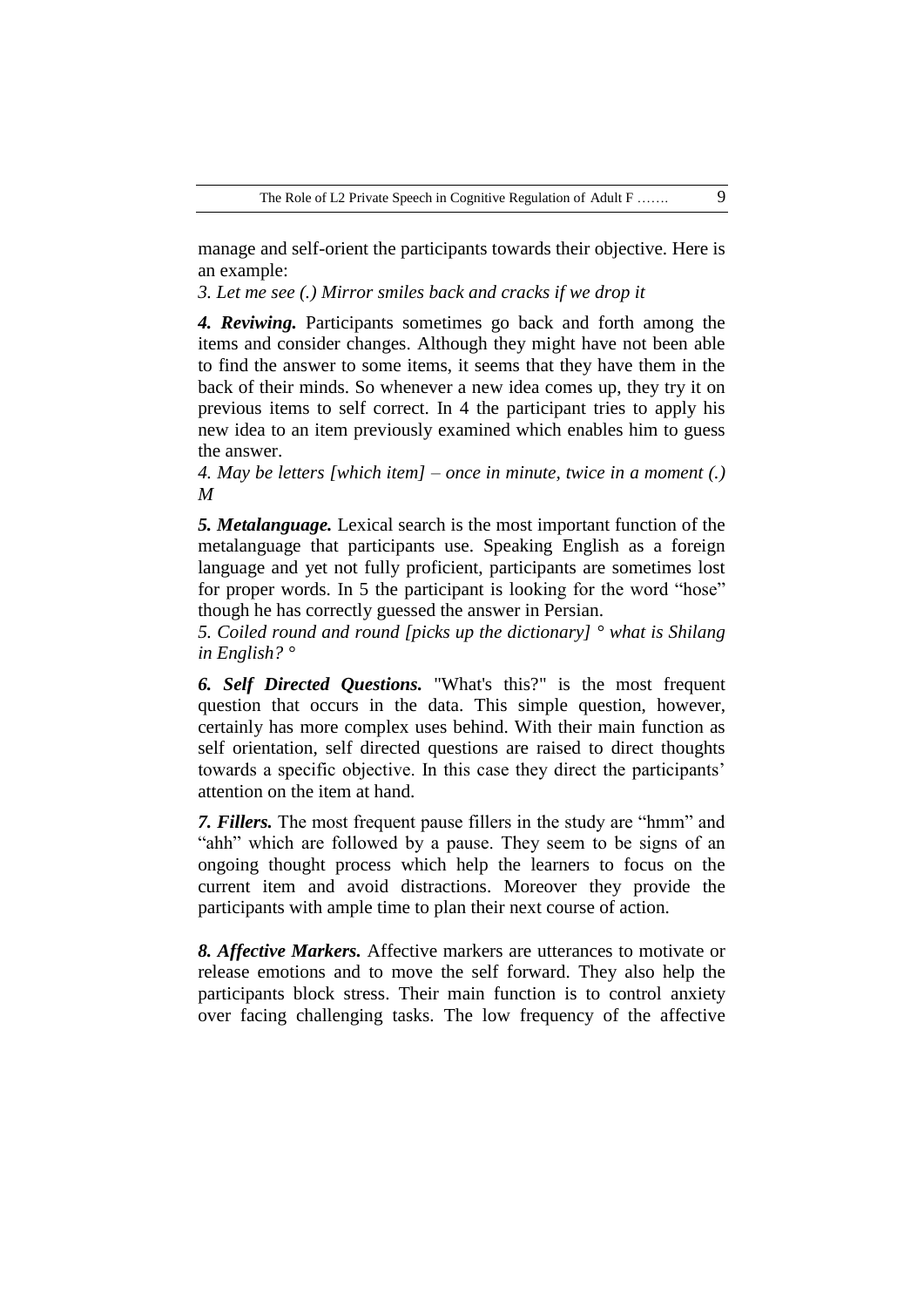manage and self-orient the participants towards their objective. Here is an example:

*3. Let me see (.) Mirror smiles back and cracks if we drop it* 

*4. Reviwing.* Participants sometimes go back and forth among the items and consider changes. Although they might have not been able to find the answer to some items, it seems that they have them in the back of their minds. So whenever a new idea comes up, they try it on previous items to self correct. In 4 the participant tries to apply his new idea to an item previously examined which enables him to guess the answer.

*4. May be letters [which item] – once in minute, twice in a moment (.) M* 

*5. Metalanguage.* Lexical search is the most important function of the metalanguage that participants use. Speaking English as a foreign language and yet not fully proficient, participants are sometimes lost for proper words. In 5 the participant is looking for the word "hose" though he has correctly guessed the answer in Persian.

*5. Coiled round and round [picks up the dictionary] ° what is Shilang in English? °*

*6. Self Directed Questions.* "What's this?" is the most frequent question that occurs in the data. This simple question, however, certainly has more complex uses behind. With their main function as self orientation, self directed questions are raised to direct thoughts towards a specific objective. In this case they direct the participants' attention on the item at hand.

*7. Fillers.* The most frequent pause fillers in the study are "hmm" and "ahh" which are followed by a pause. They seem to be signs of an ongoing thought process which help the learners to focus on the current item and avoid distractions. Moreover they provide the participants with ample time to plan their next course of action.

*8. Affective Markers.* Affective markers are utterances to motivate or release emotions and to move the self forward. They also help the participants block stress. Their main function is to control anxiety over facing challenging tasks. The low frequency of the affective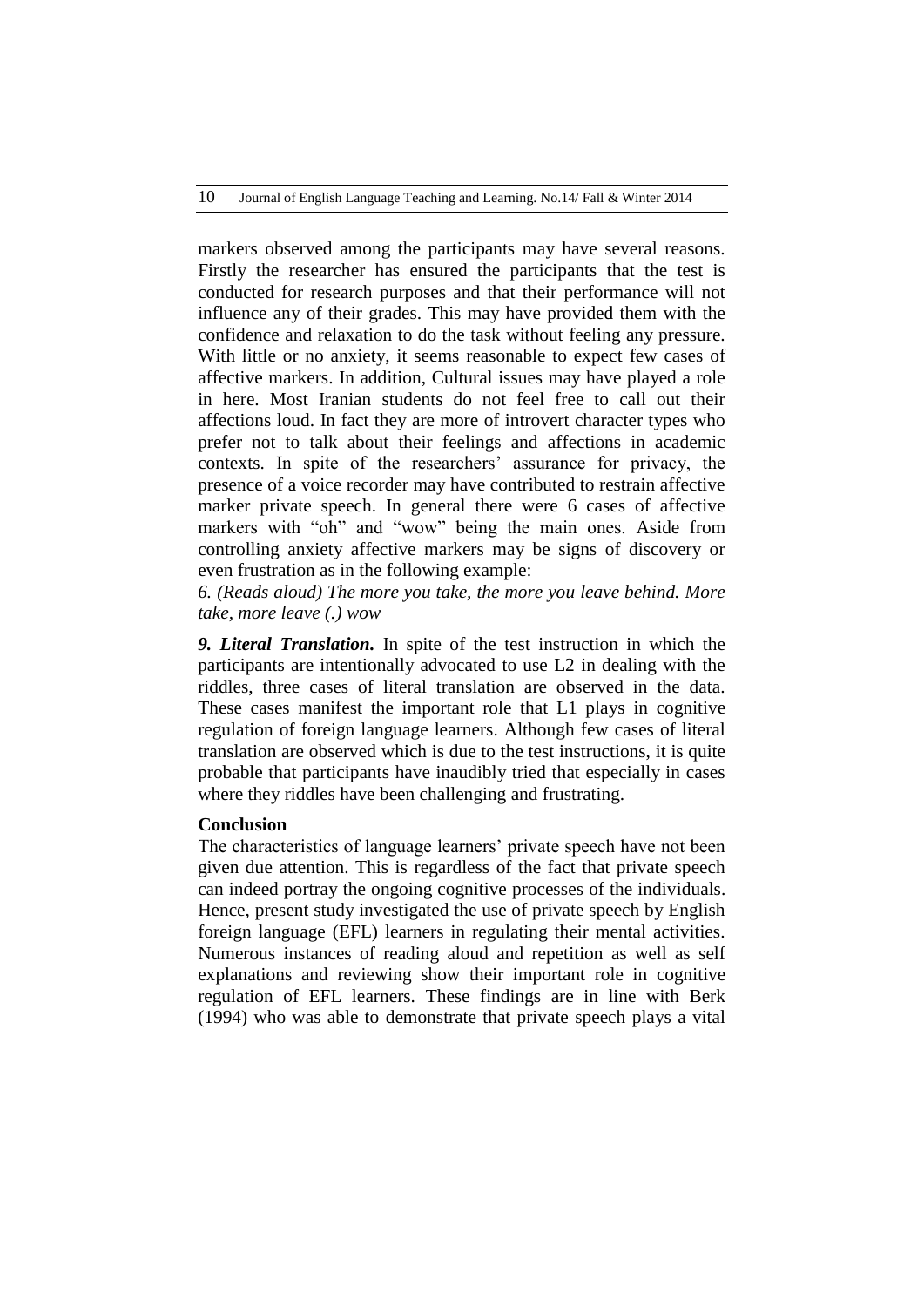markers observed among the participants may have several reasons. Firstly the researcher has ensured the participants that the test is conducted for research purposes and that their performance will not influence any of their grades. This may have provided them with the confidence and relaxation to do the task without feeling any pressure. With little or no anxiety, it seems reasonable to expect few cases of affective markers. In addition, Cultural issues may have played a role in here. Most Iranian students do not feel free to call out their affections loud. In fact they are more of introvert character types who prefer not to talk about their feelings and affections in academic contexts. In spite of the researchers' assurance for privacy, the presence of a voice recorder may have contributed to restrain affective marker private speech. In general there were 6 cases of affective markers with "oh" and "wow" being the main ones. Aside from controlling anxiety affective markers may be signs of discovery or even frustration as in the following example:

*6. (Reads aloud) The more you take, the more you leave behind. More take, more leave (.) wow*

*9. Literal Translation.* In spite of the test instruction in which the participants are intentionally advocated to use L2 in dealing with the riddles, three cases of literal translation are observed in the data. These cases manifest the important role that L1 plays in cognitive regulation of foreign language learners. Although few cases of literal translation are observed which is due to the test instructions, it is quite probable that participants have inaudibly tried that especially in cases where they riddles have been challenging and frustrating.

### **Conclusion**

The characteristics of language learners' private speech have not been given due attention. This is regardless of the fact that private speech can indeed portray the ongoing cognitive processes of the individuals. Hence, present study investigated the use of private speech by English foreign language (EFL) learners in regulating their mental activities. Numerous instances of reading aloud and repetition as well as self explanations and reviewing show their important role in cognitive regulation of EFL learners. These findings are in line with Berk (1994) who was able to demonstrate that private speech plays a vital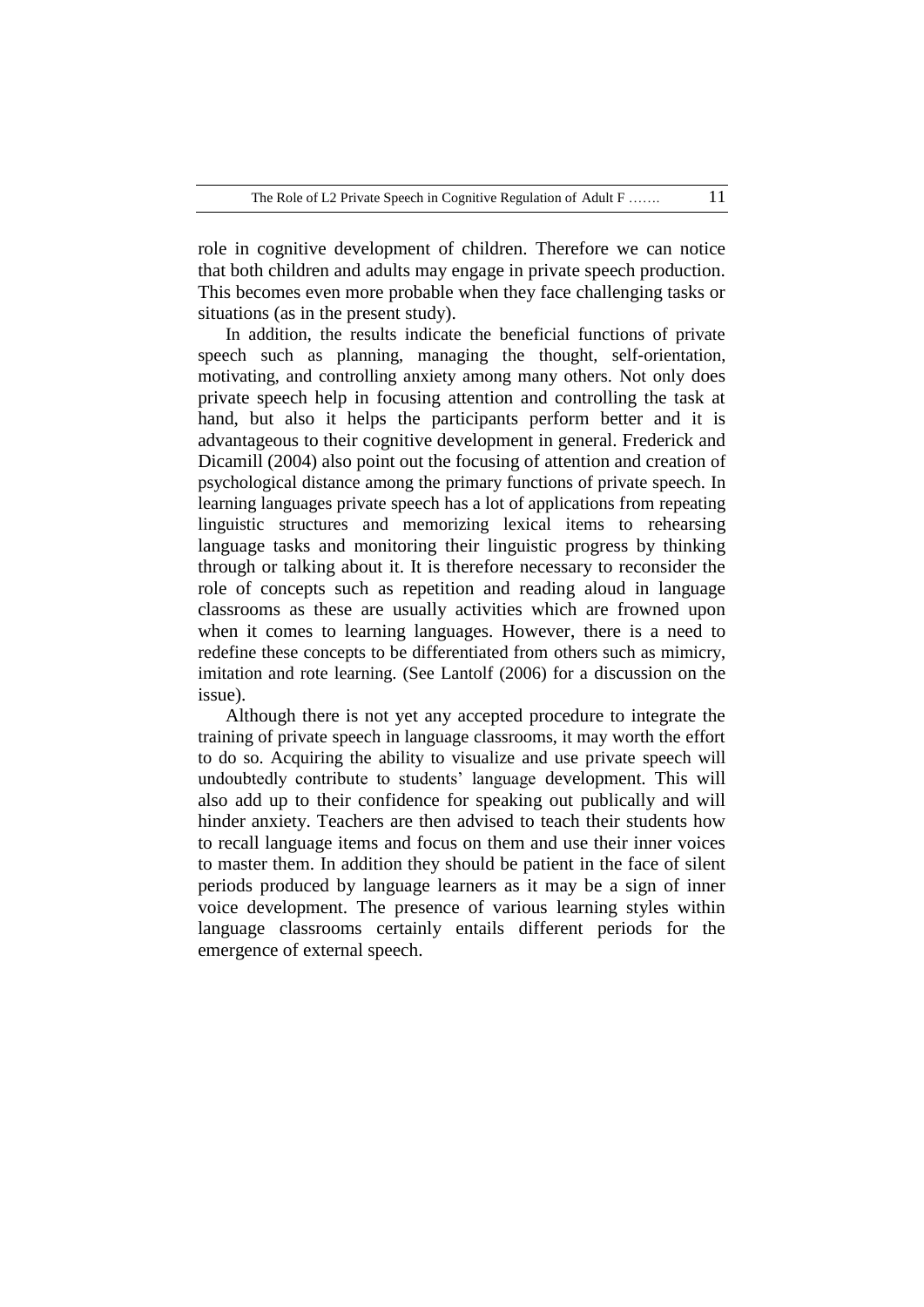role in cognitive development of children. Therefore we can notice that both children and adults may engage in private speech production. This becomes even more probable when they face challenging tasks or situations (as in the present study).

In addition, the results indicate the beneficial functions of private speech such as planning, managing the thought, self-orientation, motivating, and controlling anxiety among many others. Not only does private speech help in focusing attention and controlling the task at hand, but also it helps the participants perform better and it is advantageous to their cognitive development in general. Frederick and Dicamill (2004) also point out the focusing of attention and creation of psychological distance among the primary functions of private speech. In learning languages private speech has a lot of applications from repeating linguistic structures and memorizing lexical items to rehearsing language tasks and monitoring their linguistic progress by thinking through or talking about it. It is therefore necessary to reconsider the role of concepts such as repetition and reading aloud in language classrooms as these are usually activities which are frowned upon when it comes to learning languages. However, there is a need to redefine these concepts to be differentiated from others such as mimicry, imitation and rote learning. (See Lantolf (2006) for a discussion on the issue).

Although there is not yet any accepted procedure to integrate the training of private speech in language classrooms, it may worth the effort to do so. Acquiring the ability to visualize and use private speech will undoubtedly contribute to students" language development. This will also add up to their confidence for speaking out publically and will hinder anxiety. Teachers are then advised to teach their students how to recall language items and focus on them and use their inner voices to master them. In addition they should be patient in the face of silent periods produced by language learners as it may be a sign of inner voice development. The presence of various learning styles within language classrooms certainly entails different periods for the emergence of external speech.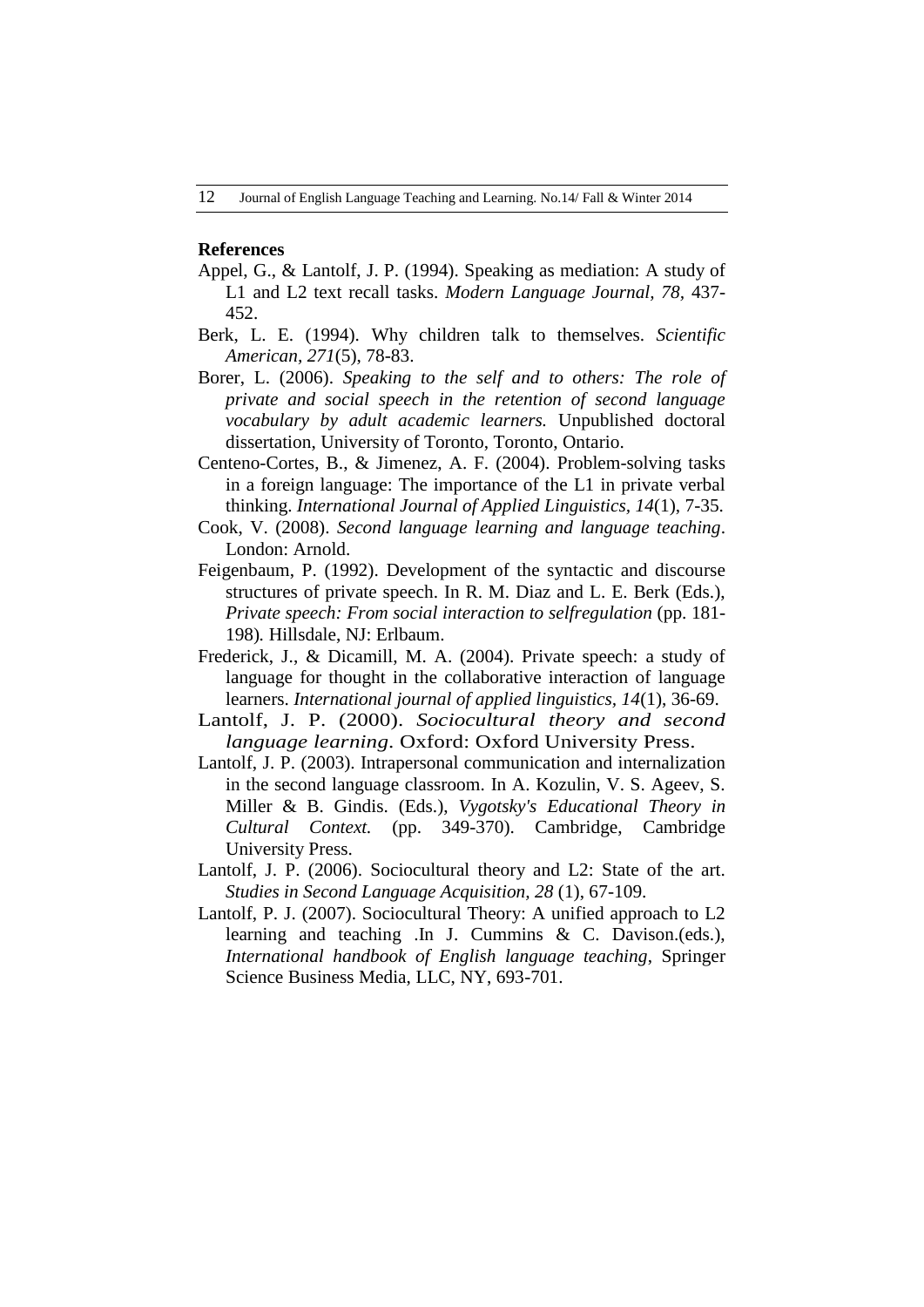#### **References**

- Appel, G., & Lantolf, J. P. (1994). Speaking as mediation: A study of L1 and L2 text recall tasks. *Modern Language Journal, 78,* 437- 452.
- Berk, L. E. (1994). Why children talk to themselves. *Scientific American, 271*(5), 78-83.
- Borer, L. (2006). *Speaking to the self and to others: The role of private and social speech in the retention of second language vocabulary by adult academic learners.* Unpublished doctoral dissertation, University of Toronto, Toronto, Ontario.
- Centeno-Cortes, B., & Jimenez, A. F. (2004). Problem-solving tasks in a foreign language: The importance of the L1 in private verbal thinking. *International Journal of Applied Linguistics, 14*(1), 7-35.
- Cook, V. (2008). *Second language learning and language teaching*. London: Arnold.
- Feigenbaum, P. (1992). Development of the syntactic and discourse structures of private speech. In R. M. Diaz and L. E. Berk (Eds.), *Private speech: From social interaction to selfregulation* (pp. 181- 198)*.* Hillsdale, NJ: Erlbaum.
- Frederick, J., & Dicamill, M. A. (2004). Private speech: a study of language for thought in the collaborative interaction of language learners. *International journal of applied linguistics, 14*(1), 36-69.
- Lantolf, J. P. (2000). *Sociocultural theory and second language learning*. Oxford: Oxford University Press.
- Lantolf, J. P. (2003). Intrapersonal communication and internalization in the second language classroom. In A. Kozulin, V. S. Ageev, S. Miller & B. Gindis. (Eds.), *Vygotsky's Educational Theory in Cultural Context.* (pp. 349-370). Cambridge, Cambridge University Press.
- Lantolf, J. P. (2006). Sociocultural theory and L2: State of the art. *Studies in Second Language Acquisition, 28* (1), 67-109.
- Lantolf, P. J. (2007). Sociocultural Theory: A unified approach to L2 learning and teaching .In J. Cummins & C. Davison.(eds.), *International handbook of English language teaching*, Springer Science Business Media, LLC, NY, 693-701.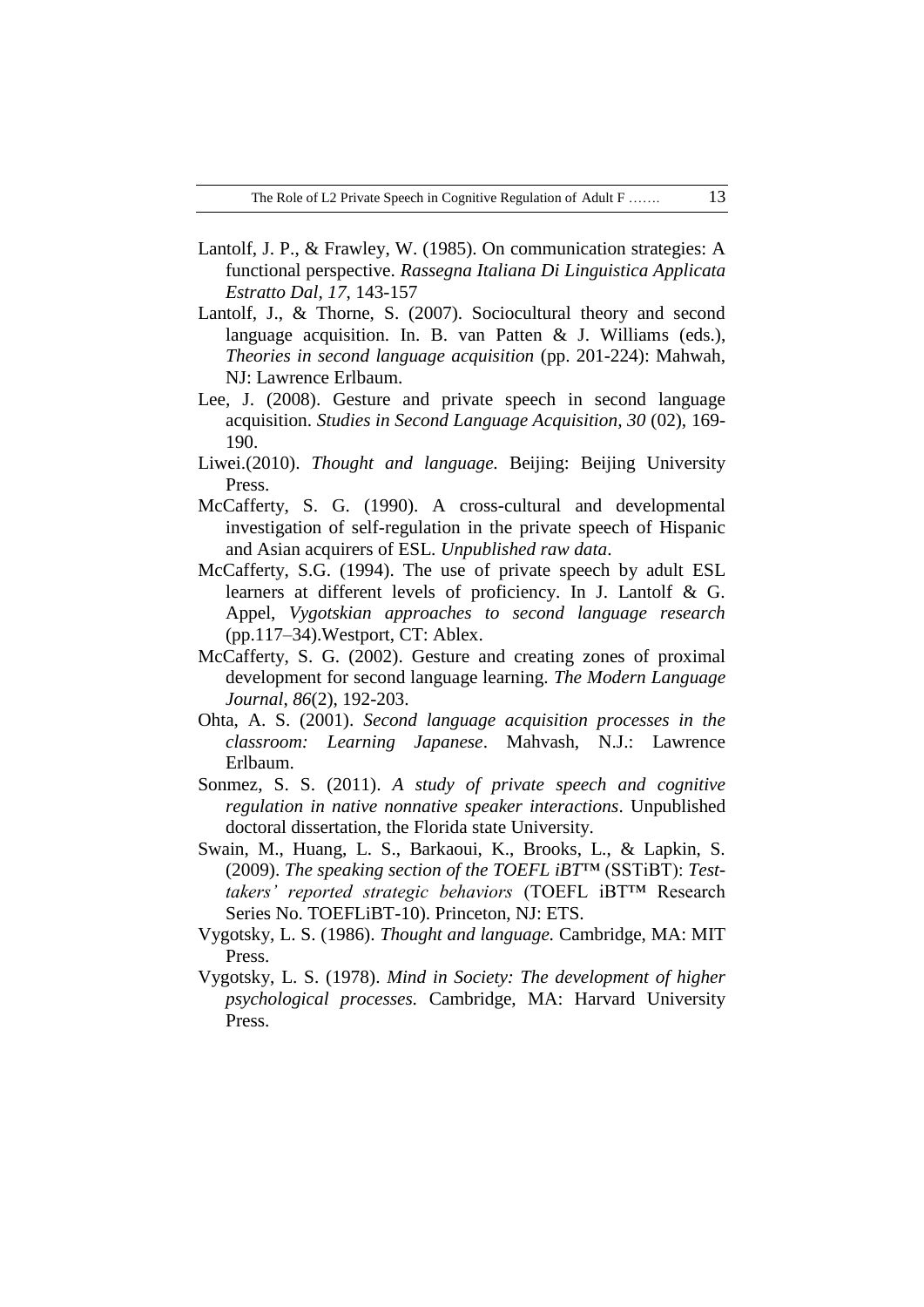- Lantolf, J. P., & Frawley, W. (1985). On communication strategies: A functional perspective. *Rassegna Italiana Di Linguistica Applicata Estratto Dal, 17*, 143-157
- Lantolf, J., & Thorne, S. (2007). Sociocultural theory and second language acquisition. In. B. van Patten & J. Williams (eds.), *Theories in second language acquisition* (pp. 201-224): Mahwah, NJ: Lawrence Erlbaum.
- Lee, J. (2008). Gesture and private speech in second language acquisition. *Studies in Second Language Acquisition, 30* (02), 169- 190.
- Liwei.(2010). *Thought and language.* Beijing: Beijing University Press.
- McCafferty, S. G. (1990). A cross-cultural and developmental investigation of self-regulation in the private speech of Hispanic and Asian acquirers of ESL. *Unpublished raw data*.
- McCafferty, S.G. (1994). The use of private speech by adult ESL learners at different levels of proficiency. In J. Lantolf & G. Appel, *Vygotskian approaches to second language research* (pp.117–34).Westport, CT: Ablex.
- McCafferty, S. G. (2002). Gesture and creating zones of proximal development for second language learning. *The Modern Language Journal*, *86*(2), 192-203.
- Ohta, A. S. (2001). *Second language acquisition processes in the classroom: Learning Japanese*. Mahvash, N.J.: Lawrence Erlbaum.
- Sonmez, S. S. (2011). *A study of private speech and cognitive regulation in native nonnative speaker interactions*. Unpublished doctoral dissertation, the Florida state University.
- Swain, M., Huang, L. S., Barkaoui, K., Brooks, L., & Lapkin, S. (2009). *The speaking section of the TOEFL iBT*™ (SSTiBT): *Testtakers' reported strategic behaviors* (TOEFL iBT™ Research Series No. TOEFLiBT-10). Princeton, NJ: ETS.
- Vygotsky, L. S. (1986). *Thought and language.* Cambridge, MA: MIT Press.
- Vygotsky, L. S. (1978). *Mind in Society: The development of higher psychological processes.* Cambridge, MA: Harvard University Press.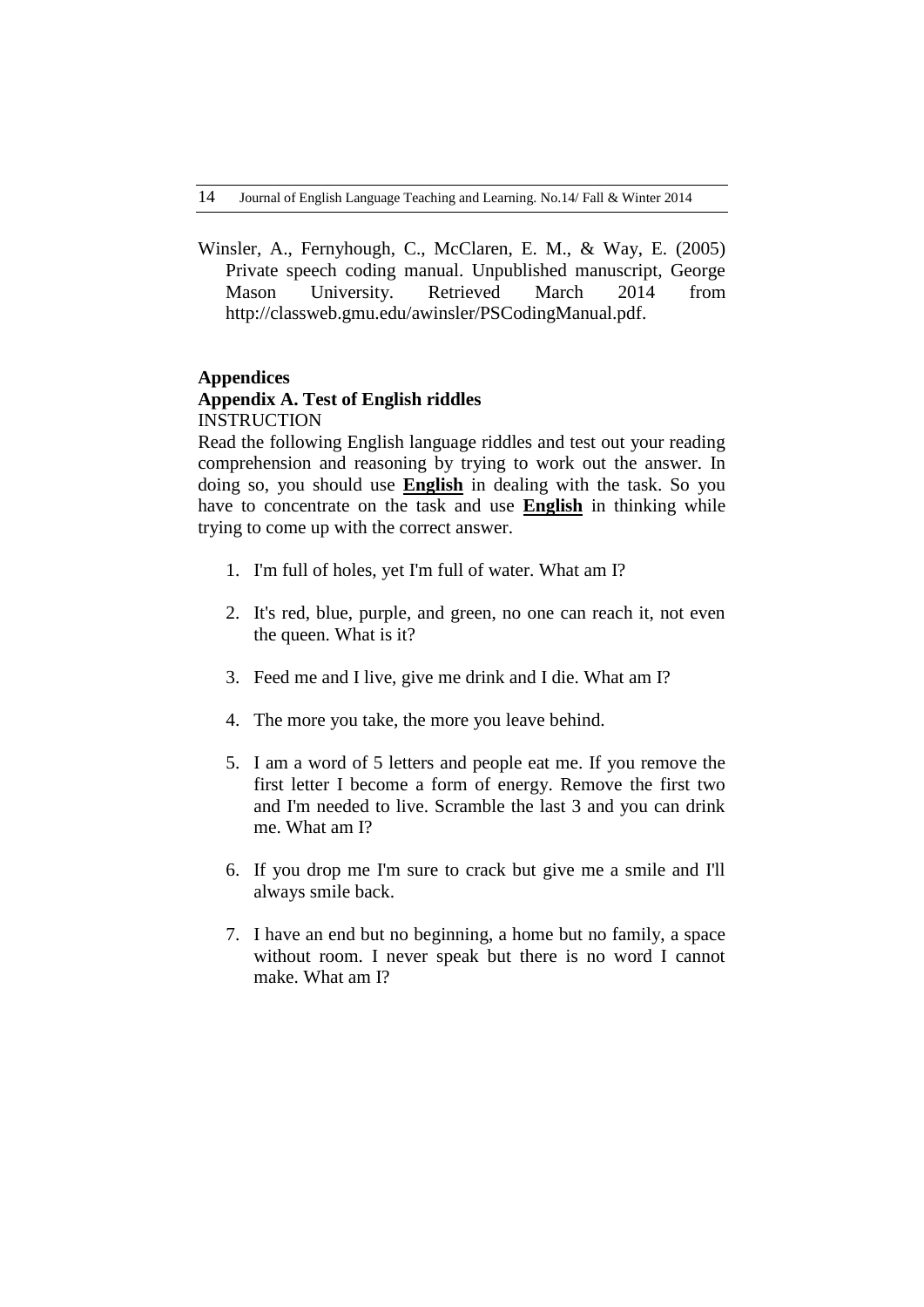Winsler, A., Fernyhough, C., McClaren, E. M., & Way, E. (2005) Private speech coding manual. Unpublished manuscript, George Mason University. Retrieved March 2014 from [http://classweb.gmu.edu/awinsler/PSCodingManual.pdf.](http://classweb.gmu.edu/awinsler/PSCodingManual.pdf)

## **Appendices**

## **Appendix A. Test of English riddles INSTRUCTION**

Read the following English language riddles and test out your reading comprehension and reasoning by trying to work out the answer. In doing so, you should use **English** in dealing with the task. So you have to concentrate on the task and use **English** in thinking while trying to come up with the correct answer.

- 1. I'm full of holes, yet I'm full of water. What am I?
- 2. It's red, blue, purple, and green, no one can reach it, not even the queen. What is it?
- 3. Feed me and I live, give me drink and I die. What am I?
- 4. The more you take, the more you leave behind.
- 5. I am a word of 5 letters and people eat me. If you remove the first letter I become a form of energy. Remove the first two and I'm needed to live. Scramble the last 3 and you can drink me. What am I?
- 6. If you drop me I'm sure to crack but give me a smile and I'll always smile back.
- 7. I have an end but no beginning, a home but no family, a space without room. I never speak but there is no word I cannot make. What am I?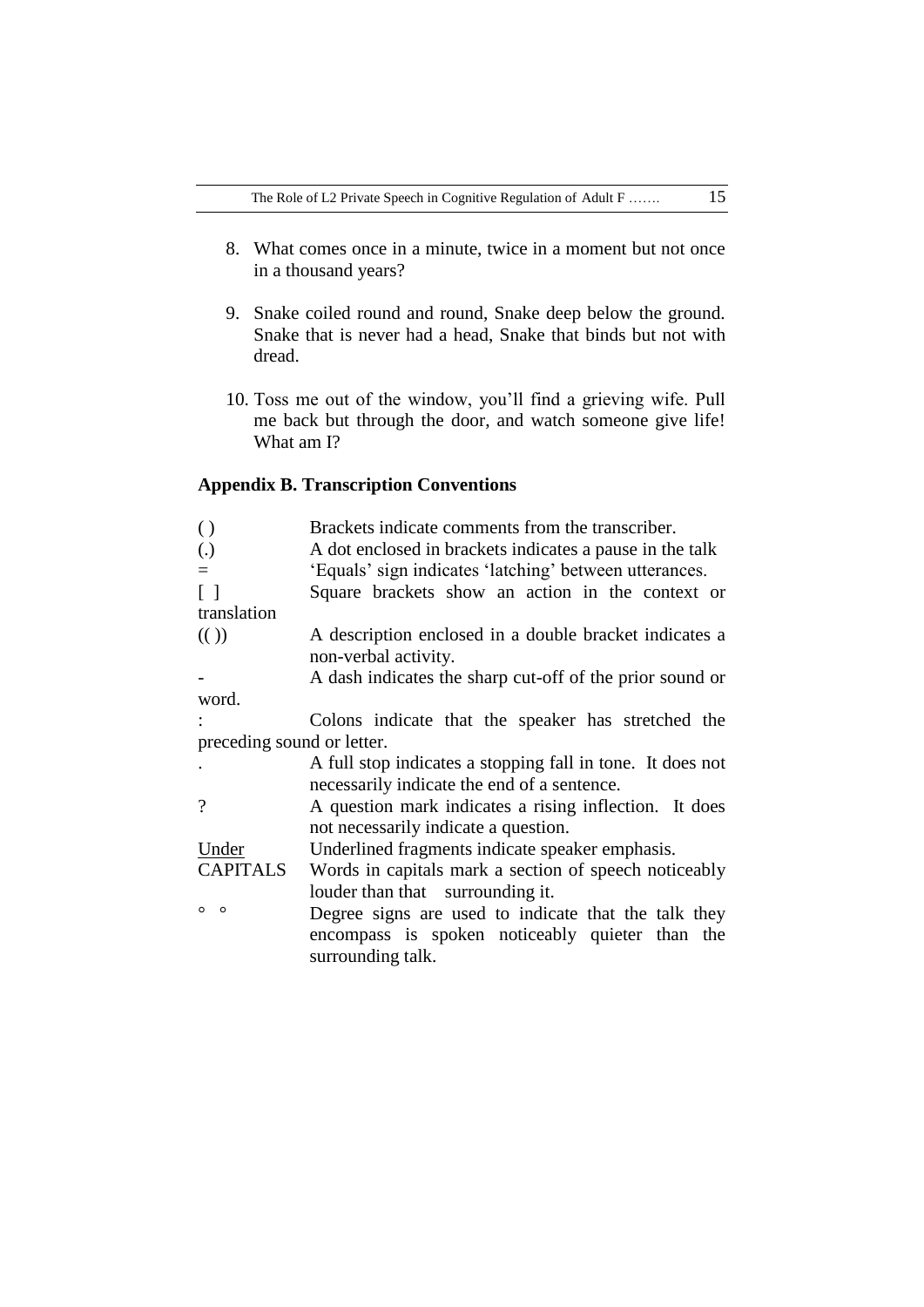- 8. What comes once in a minute, twice in a moment but not once in a thousand years?
- 9. Snake coiled round and round, Snake deep below the ground. Snake that is never had a head, Snake that binds but not with dread.
- 10. Toss me out of the window, you"ll find a grieving wife. Pull me back but through the door, and watch someone give life! What am I?

# **Appendix B. Transcription Conventions**

| $\left( \ \right)$          | Brackets indicate comments from the transcriber.                               |  |  |  |
|-----------------------------|--------------------------------------------------------------------------------|--|--|--|
| $\left( .\right)$           | A dot enclosed in brackets indicates a pause in the talk                       |  |  |  |
| $\equiv$                    | 'Equals' sign indicates 'latching' between utterances.                         |  |  |  |
| $\lceil$ $\rceil$           | Square brackets show an action in the context or                               |  |  |  |
| translation                 |                                                                                |  |  |  |
| $\left(\binom{1}{2}\right)$ | A description enclosed in a double bracket indicates a<br>non-verbal activity. |  |  |  |
|                             | A dash indicates the sharp cut-off of the prior sound or                       |  |  |  |
| word.                       |                                                                                |  |  |  |
|                             | Colons indicate that the speaker has stretched the                             |  |  |  |
| preceding sound or letter.  |                                                                                |  |  |  |
|                             | A full stop indicates a stopping fall in tone. It does not                     |  |  |  |
|                             | necessarily indicate the end of a sentence.                                    |  |  |  |
| $\gamma$                    | A question mark indicates a rising inflection. It does                         |  |  |  |
|                             | not necessarily indicate a question.                                           |  |  |  |
| Under                       | Underlined fragments indicate speaker emphasis.                                |  |  |  |
| CAPITALS                    | Words in capitals mark a section of speech noticeably                          |  |  |  |
|                             | louder than that surrounding it.                                               |  |  |  |
| $\circ$<br>$\circ$          | Degree signs are used to indicate that the talk they                           |  |  |  |
|                             | encompass is spoken noticeably quieter than the<br>surrounding talk.           |  |  |  |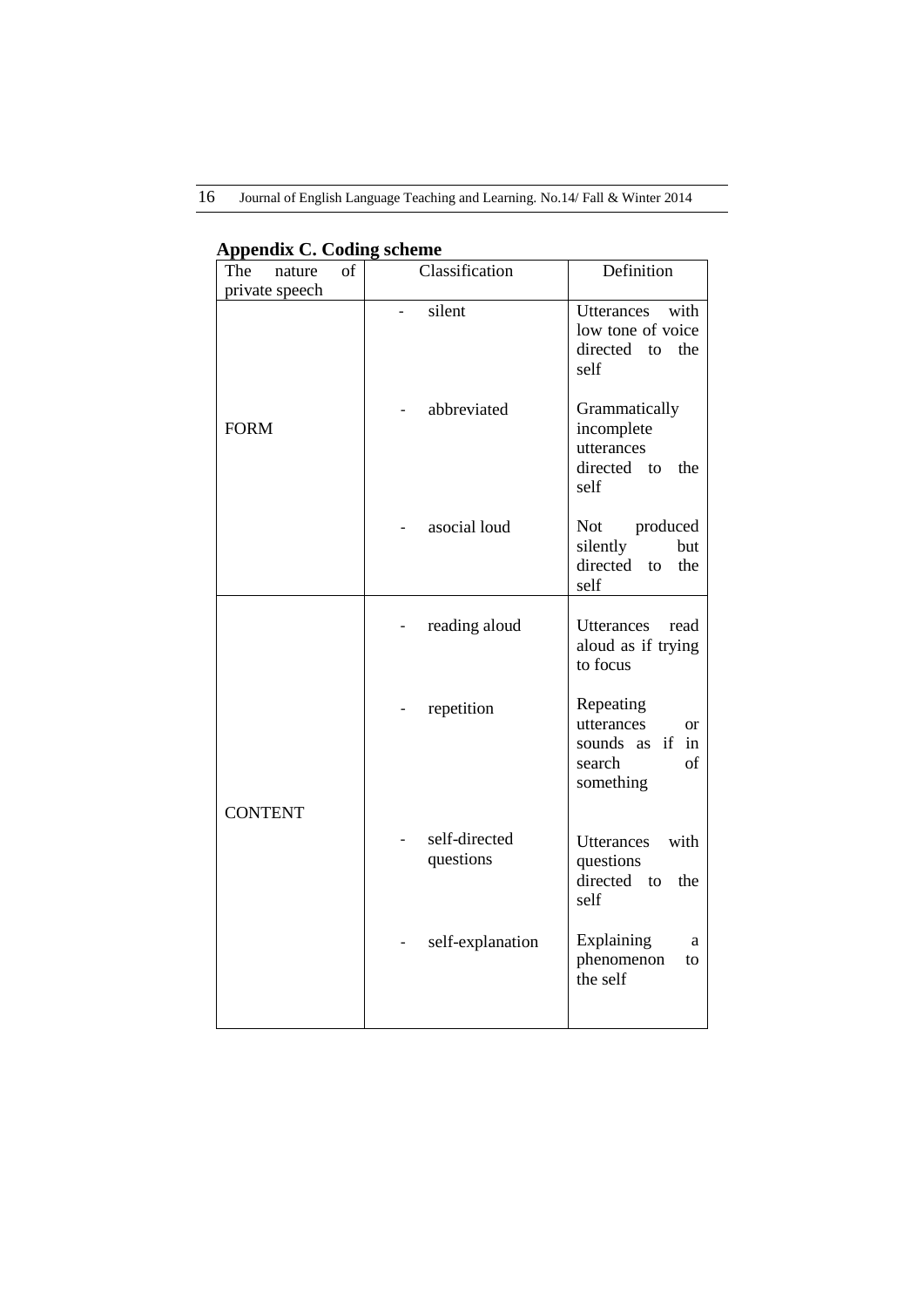16 Journal of English Language Teaching and Learning. No.14/ Fall & Winter 2014

| The<br>of<br>nature<br>private speech | Classification             | Definition                                                                                 |  |  |
|---------------------------------------|----------------------------|--------------------------------------------------------------------------------------------|--|--|
|                                       | silent                     | Utterances<br>with<br>low tone of voice<br>directed<br>the<br>to<br>self                   |  |  |
| <b>FORM</b>                           | abbreviated                | Grammatically<br>incomplete<br>utterances<br>directed to<br>the<br>self                    |  |  |
|                                       | asocial loud               | Not<br>produced<br>silently<br>but<br>directed<br>the<br>to<br>self                        |  |  |
|                                       | reading aloud              | Utterances<br>read<br>aloud as if trying<br>to focus                                       |  |  |
| <b>CONTENT</b>                        | repetition                 | Repeating<br>utterances<br><b>or</b><br>sounds as<br>if<br>in<br>search<br>of<br>something |  |  |
|                                       | self-directed<br>questions | with<br><b>Utterances</b><br>questions<br>directed<br>the<br>to<br>self                    |  |  |
|                                       | self-explanation           | Explaining<br>a<br>phenomenon<br>to<br>the self                                            |  |  |

## **Appendix C. Coding scheme**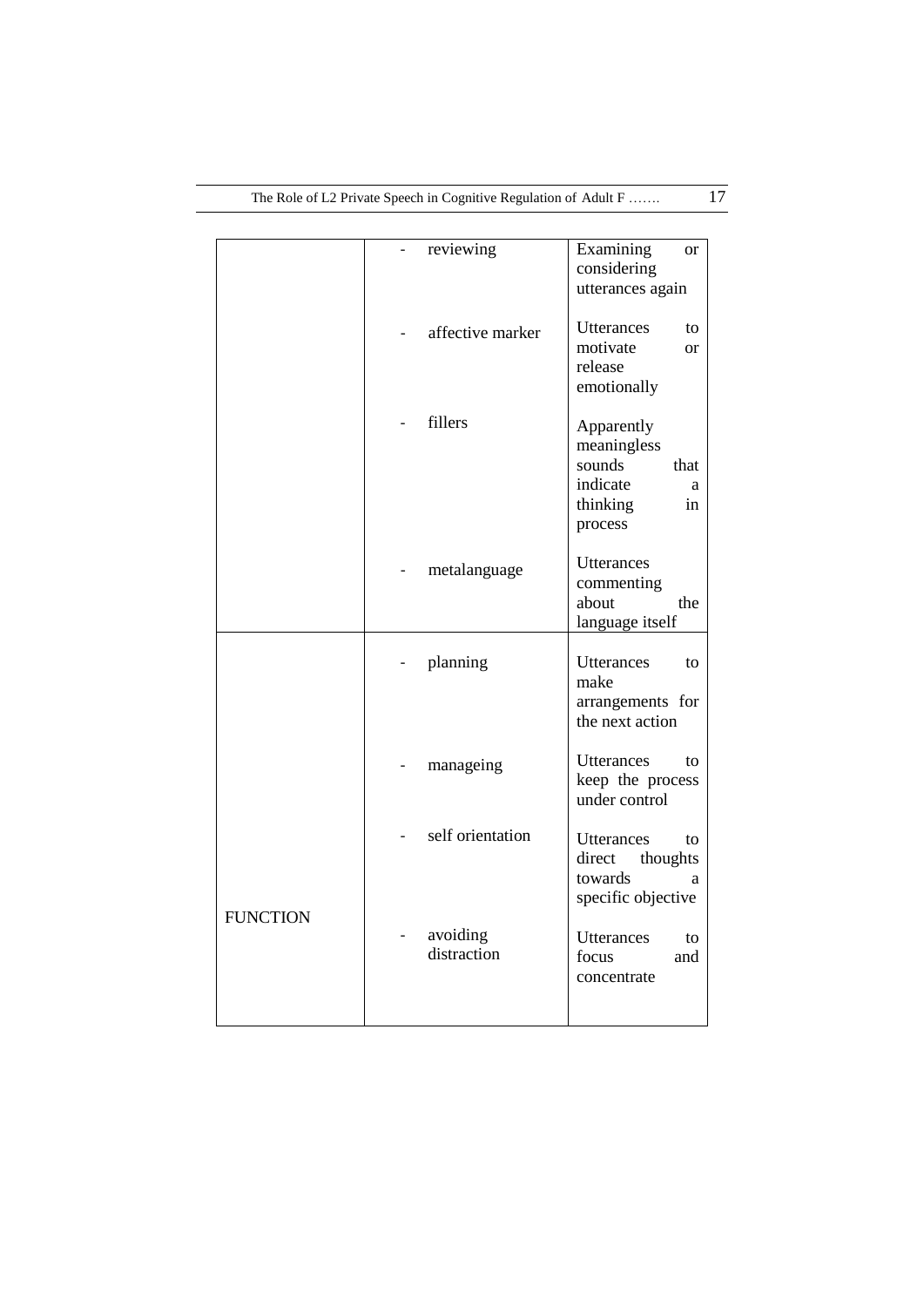|                 | reviewing               | Examining<br><b>or</b><br>considering<br>utterances again                                 |
|-----------------|-------------------------|-------------------------------------------------------------------------------------------|
|                 | affective marker        | Utterances<br>to<br>motivate<br><sub>or</sub><br>release<br>emotionally                   |
|                 | fillers                 | Apparently<br>meaningless<br>sounds<br>that<br>indicate<br>a<br>thinking<br>in<br>process |
|                 | metalanguage            | Utterances<br>commenting<br>about<br>the<br>language itself                               |
|                 | planning                | <b>Utterances</b><br>to<br>make<br>arrangements for<br>the next action                    |
|                 | manageing               | <b>Utterances</b><br>to<br>keep the process<br>under control                              |
| <b>FUNCTION</b> | self orientation        | Utterances<br>to<br>direct<br>thoughts<br>towards<br>a<br>specific objective              |
|                 | avoiding<br>distraction | Utterances<br>to<br>focus<br>and<br>concentrate                                           |